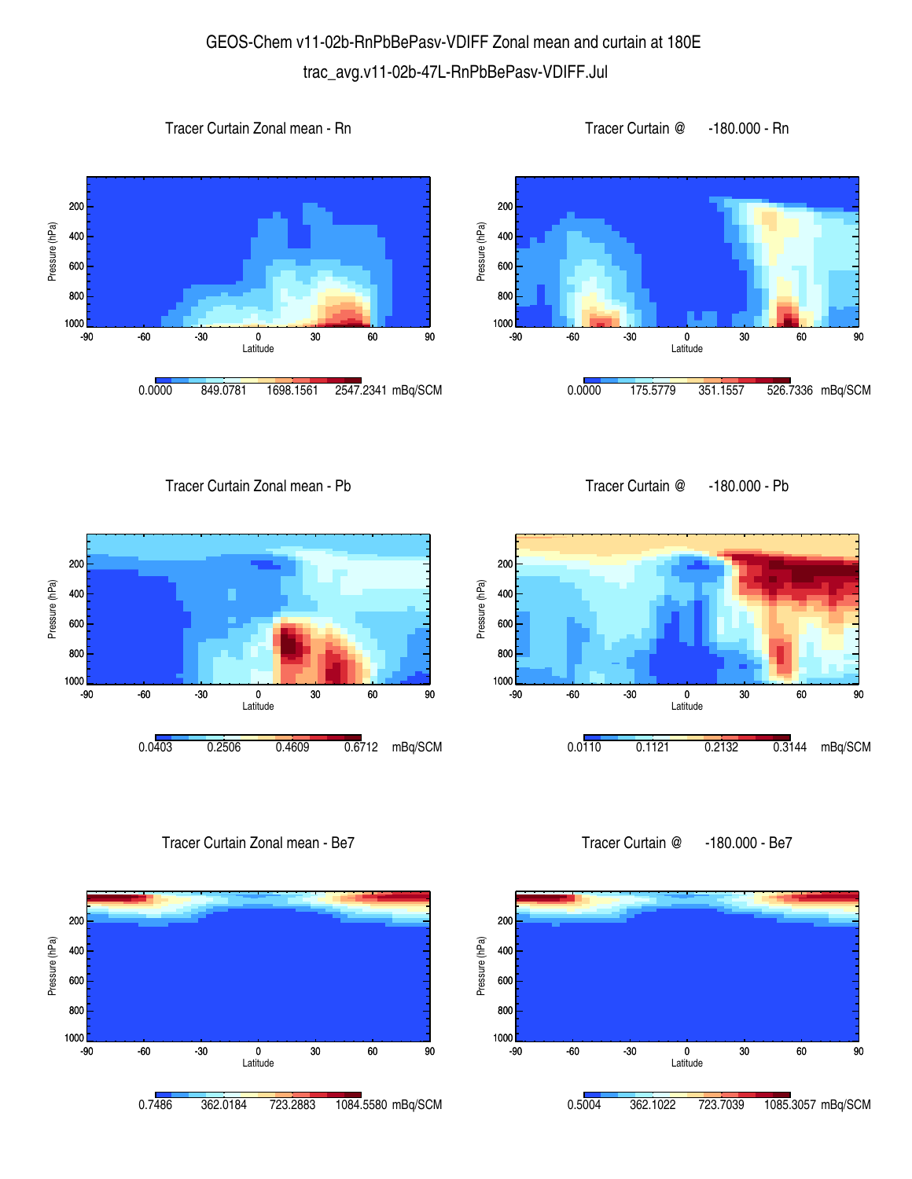## GEOS-Chem v11-02b-RnPbBePasv-VDIFF Zonal mean and curtain at 180E trac\_avg.v11-02b-47L-RnPbBePasv-VDIFF.Jul









Tracer Curtain Zonal mean - Pb









Tracer Curtain Zonal mean - Be7



Tracer Curtain @ -180.000 - Be7